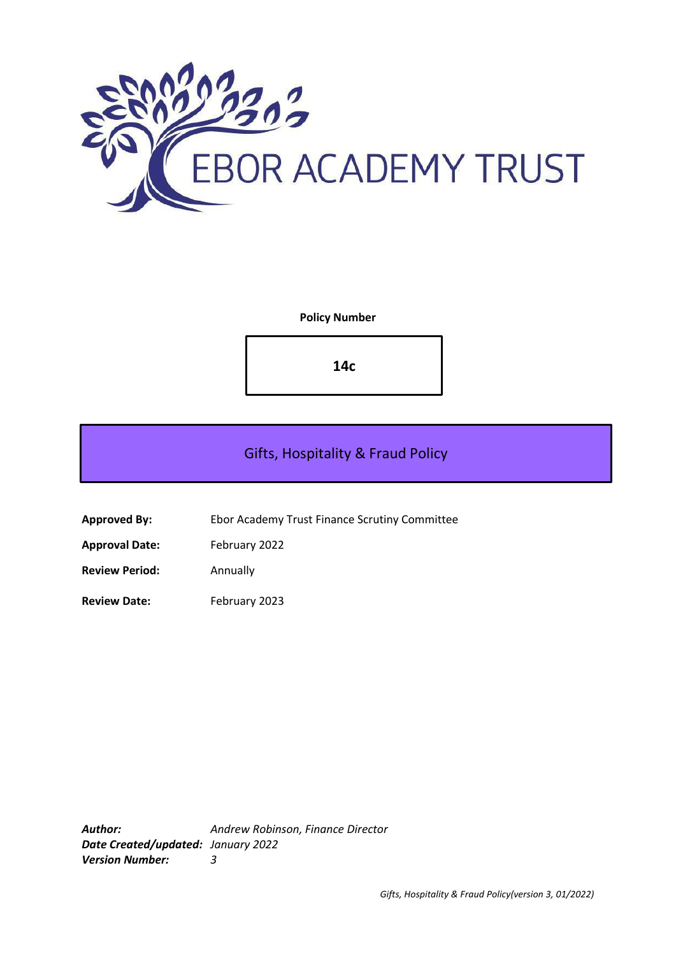

**Policy Number**

**14c**

# Gifts, Hospitality & Fraud Policy

**Approved By:** Ebor Academy Trust Finance Scrutiny Committee

**Approval Date:** February 2022

**Review Period:** Annually

**Review Date:** February 2023

*Author: Andrew Robinson, Finance Director Date Created/updated: January 2022 Version Number: 3*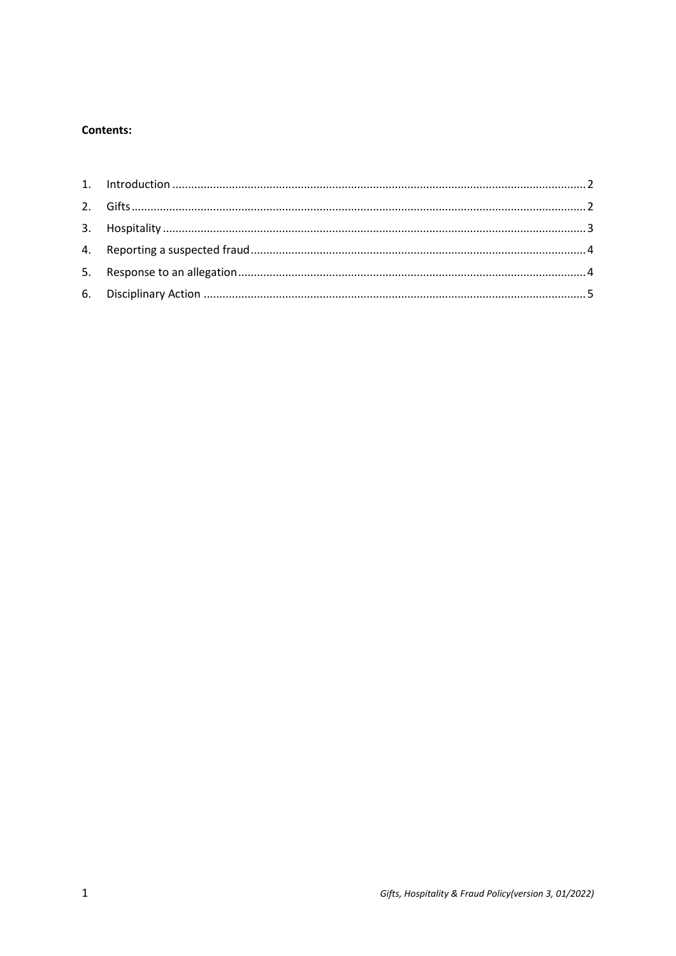# **Contents:**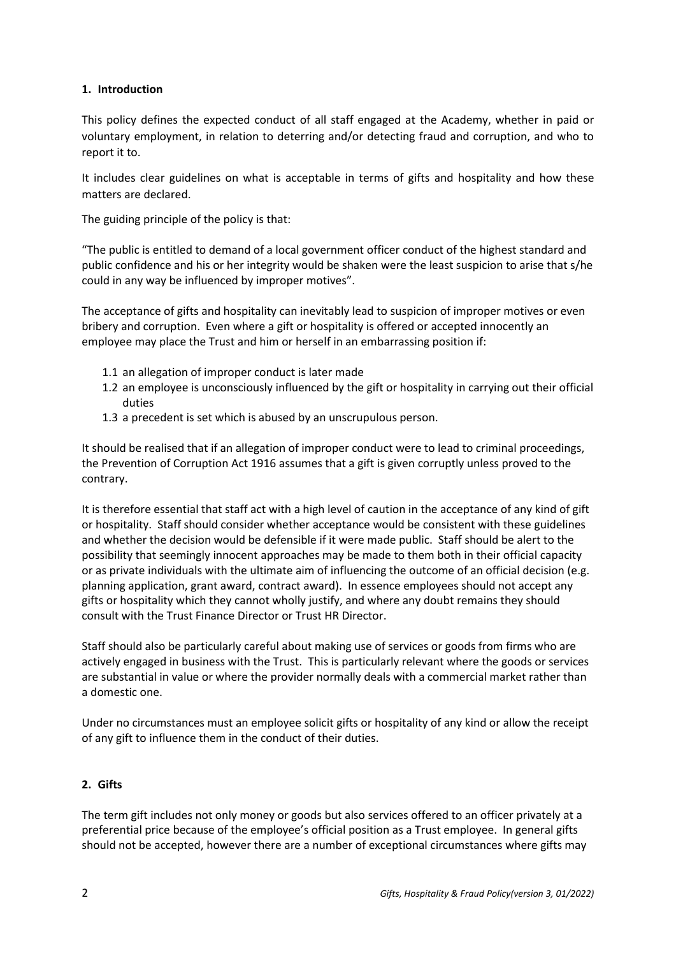# <span id="page-2-0"></span>**1. Introduction**

This policy defines the expected conduct of all staff engaged at the Academy, whether in paid or voluntary employment, in relation to deterring and/or detecting fraud and corruption, and who to report it to.

It includes clear guidelines on what is acceptable in terms of gifts and hospitality and how these matters are declared.

The guiding principle of the policy is that:

"The public is entitled to demand of a local government officer conduct of the highest standard and public confidence and his or her integrity would be shaken were the least suspicion to arise that s/he could in any way be influenced by improper motives".

The acceptance of gifts and hospitality can inevitably lead to suspicion of improper motives or even bribery and corruption. Even where a gift or hospitality is offered or accepted innocently an employee may place the Trust and him or herself in an embarrassing position if:

- 1.1 an allegation of improper conduct is later made
- 1.2 an employee is unconsciously influenced by the gift or hospitality in carrying out their official duties
- 1.3 a precedent is set which is abused by an unscrupulous person.

It should be realised that if an allegation of improper conduct were to lead to criminal proceedings, the Prevention of Corruption Act 1916 assumes that a gift is given corruptly unless proved to the contrary.

It is therefore essential that staff act with a high level of caution in the acceptance of any kind of gift or hospitality. Staff should consider whether acceptance would be consistent with these guidelines and whether the decision would be defensible if it were made public. Staff should be alert to the possibility that seemingly innocent approaches may be made to them both in their official capacity or as private individuals with the ultimate aim of influencing the outcome of an official decision (e.g. planning application, grant award, contract award). In essence employees should not accept any gifts or hospitality which they cannot wholly justify, and where any doubt remains they should consult with the Trust Finance Director or Trust HR Director.

Staff should also be particularly careful about making use of services or goods from firms who are actively engaged in business with the Trust. This is particularly relevant where the goods or services are substantial in value or where the provider normally deals with a commercial market rather than a domestic one.

Under no circumstances must an employee solicit gifts or hospitality of any kind or allow the receipt of any gift to influence them in the conduct of their duties.

# <span id="page-2-1"></span>**2. Gifts**

The term gift includes not only money or goods but also services offered to an officer privately at a preferential price because of the employee's official position as a Trust employee. In general gifts should not be accepted, however there are a number of exceptional circumstances where gifts may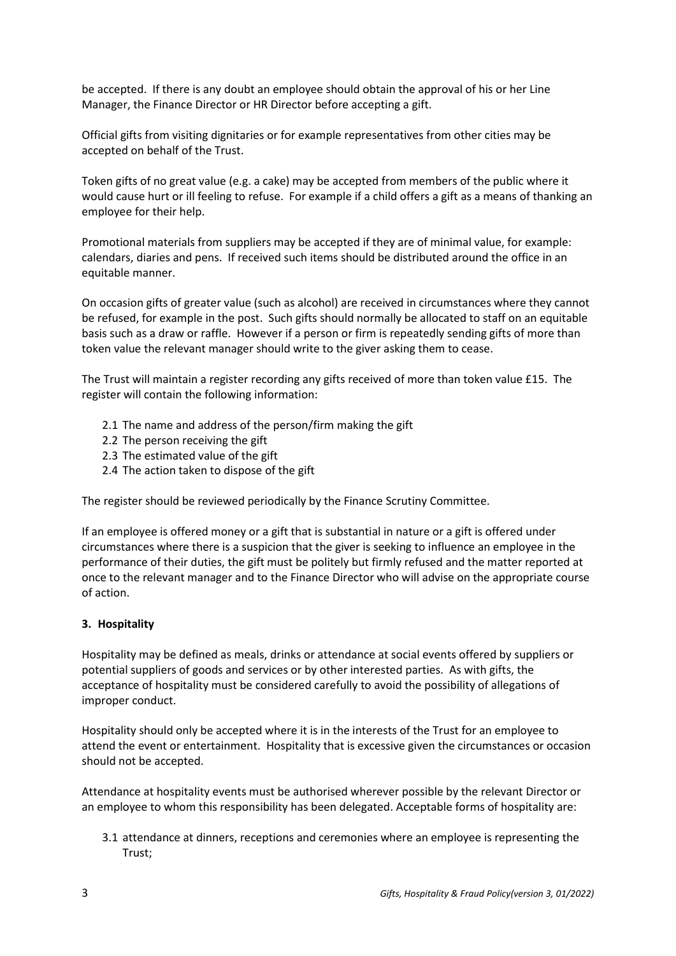be accepted. If there is any doubt an employee should obtain the approval of his or her Line Manager, the Finance Director or HR Director before accepting a gift.

Official gifts from visiting dignitaries or for example representatives from other cities may be accepted on behalf of the Trust.

Token gifts of no great value (e.g. a cake) may be accepted from members of the public where it would cause hurt or ill feeling to refuse. For example if a child offers a gift as a means of thanking an employee for their help.

Promotional materials from suppliers may be accepted if they are of minimal value, for example: calendars, diaries and pens. If received such items should be distributed around the office in an equitable manner.

On occasion gifts of greater value (such as alcohol) are received in circumstances where they cannot be refused, for example in the post. Such gifts should normally be allocated to staff on an equitable basis such as a draw or raffle. However if a person or firm is repeatedly sending gifts of more than token value the relevant manager should write to the giver asking them to cease.

The Trust will maintain a register recording any gifts received of more than token value £15. The register will contain the following information:

- 2.1 The name and address of the person/firm making the gift
- 2.2 The person receiving the gift
- 2.3 The estimated value of the gift
- 2.4 The action taken to dispose of the gift

The register should be reviewed periodically by the Finance Scrutiny Committee.

If an employee is offered money or a gift that is substantial in nature or a gift is offered under circumstances where there is a suspicion that the giver is seeking to influence an employee in the performance of their duties, the gift must be politely but firmly refused and the matter reported at once to the relevant manager and to the Finance Director who will advise on the appropriate course of action.

#### <span id="page-3-0"></span>**3. Hospitality**

Hospitality may be defined as meals, drinks or attendance at social events offered by suppliers or potential suppliers of goods and services or by other interested parties. As with gifts, the acceptance of hospitality must be considered carefully to avoid the possibility of allegations of improper conduct.

Hospitality should only be accepted where it is in the interests of the Trust for an employee to attend the event or entertainment. Hospitality that is excessive given the circumstances or occasion should not be accepted.

Attendance at hospitality events must be authorised wherever possible by the relevant Director or an employee to whom this responsibility has been delegated. Acceptable forms of hospitality are:

3.1 attendance at dinners, receptions and ceremonies where an employee is representing the Trust;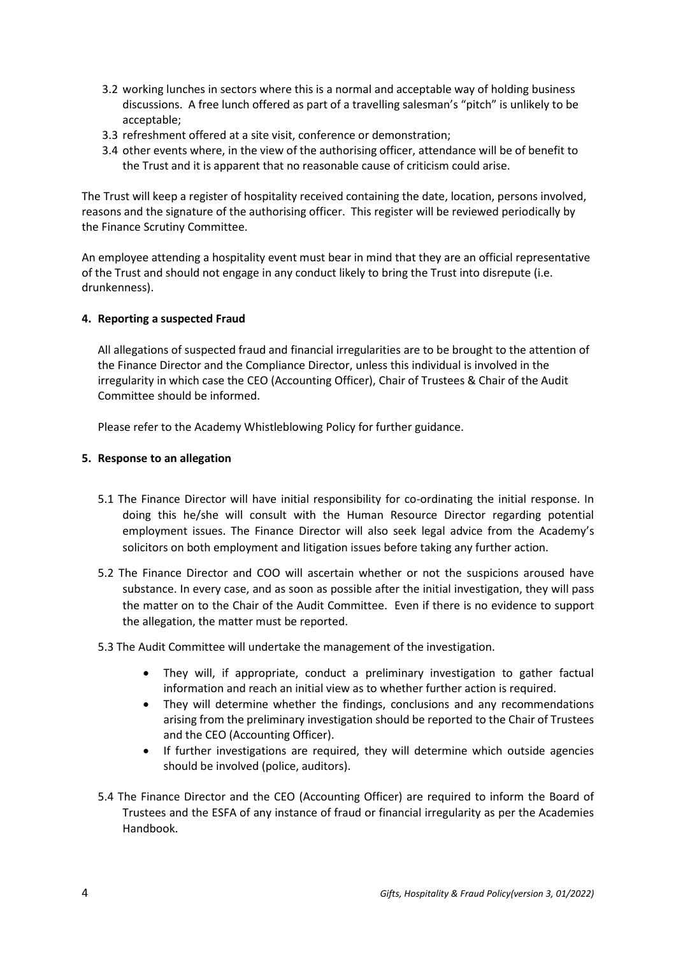- 3.2 working lunches in sectors where this is a normal and acceptable way of holding business discussions. A free lunch offered as part of a travelling salesman's "pitch" is unlikely to be acceptable;
- 3.3 refreshment offered at a site visit, conference or demonstration;
- 3.4 other events where, in the view of the authorising officer, attendance will be of benefit to the Trust and it is apparent that no reasonable cause of criticism could arise.

The Trust will keep a register of hospitality received containing the date, location, persons involved, reasons and the signature of the authorising officer. This register will be reviewed periodically by the Finance Scrutiny Committee.

An employee attending a hospitality event must bear in mind that they are an official representative of the Trust and should not engage in any conduct likely to bring the Trust into disrepute (i.e. drunkenness).

# <span id="page-4-0"></span>**4. Reporting a suspected Fraud**

All allegations of suspected fraud and financial irregularities are to be brought to the attention of the Finance Director and the Compliance Director, unless this individual is involved in the irregularity in which case the CEO (Accounting Officer), Chair of Trustees & Chair of the Audit Committee should be informed.

Please refer to the Academy Whistleblowing Policy for further guidance.

# <span id="page-4-1"></span>**5. Response to an allegation**

- 5.1 The Finance Director will have initial responsibility for co-ordinating the initial response. In doing this he/she will consult with the Human Resource Director regarding potential employment issues. The Finance Director will also seek legal advice from the Academy's solicitors on both employment and litigation issues before taking any further action.
- 5.2 The Finance Director and COO will ascertain whether or not the suspicions aroused have substance. In every case, and as soon as possible after the initial investigation, they will pass the matter on to the Chair of the Audit Committee. Even if there is no evidence to support the allegation, the matter must be reported.
- 5.3 The Audit Committee will undertake the management of the investigation.
	- They will, if appropriate, conduct a preliminary investigation to gather factual information and reach an initial view as to whether further action is required.
	- They will determine whether the findings, conclusions and any recommendations arising from the preliminary investigation should be reported to the Chair of Trustees and the CEO (Accounting Officer).
	- If further investigations are required, they will determine which outside agencies should be involved (police, auditors).
- 5.4 The Finance Director and the CEO (Accounting Officer) are required to inform the Board of Trustees and the ESFA of any instance of fraud or financial irregularity as per the Academies Handbook.